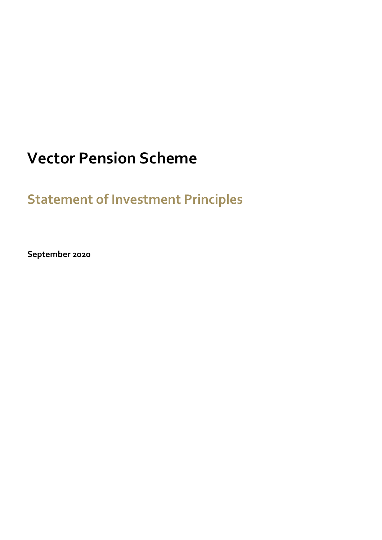# **Vector Pension Scheme**

**Statement of Investment Principles**

**September 2020**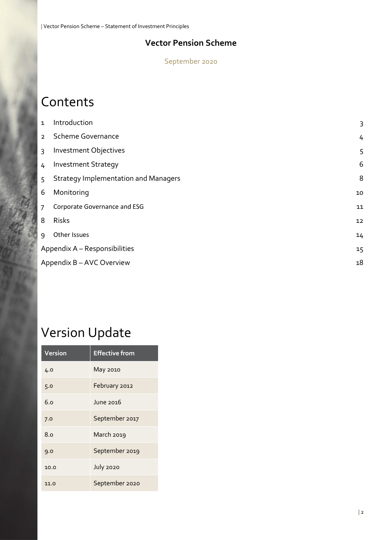### **Vector Pension Scheme**

September 2020

# **Contents**

| $\mathbf{1}$   | Introduction                                | 3  |
|----------------|---------------------------------------------|----|
| $\overline{2}$ | <b>Scheme Governance</b>                    | 4  |
| 3              | Investment Objectives                       | 5  |
| 4              | <b>Investment Strategy</b>                  | 6  |
| 5              | <b>Strategy Implementation and Managers</b> | 8  |
| 6              | Monitoring                                  | 10 |
| $\overline{7}$ | Corporate Governance and ESG                | 11 |
| 8              | <b>Risks</b>                                | 12 |
| 9              | Other Issues                                | 14 |
|                | Appendix A - Responsibilities               |    |
|                | Appendix B - AVC Overview                   |    |
|                |                                             |    |

# Version Update

| Version | <b>Effective from</b> |  |
|---------|-----------------------|--|
| 4.0     | May 2010              |  |
| 5.0     | February 2012         |  |
| 6.0     | June 2016             |  |
| 7.0     | September 2017        |  |
| 8.0     | March 2019            |  |
| 9.0     | September 2019        |  |
| 10.0    | <b>July 2020</b>      |  |
| 11.0    | September 2020        |  |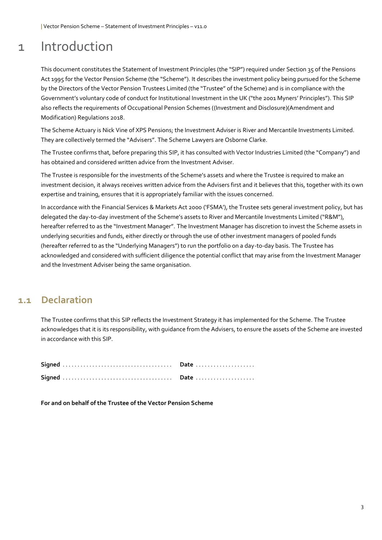## 1 Introduction

This document constitutes the Statement of Investment Principles (the "SIP") required under Section 35 of the Pensions Act 1995 for the Vector Pension Scheme (the "Scheme"). It describes the investment policy being pursued for the Scheme by the Directors of the Vector Pension Trustees Limited (the "Trustee" of the Scheme) and is in compliance with the Government's voluntary code of conduct for Institutional Investment in the UK ("the 2001 Myners' Principles"). This SIP also reflects the requirements of Occupational Pension Schemes ((Investment and Disclosure)(Amendment and Modification) Regulations 2018.

The Scheme Actuary is Nick Vine of XPS Pensions; the Investment Adviser is River and Mercantile Investments Limited. They are collectively termed the "Advisers". The Scheme Lawyers are Osborne Clarke.

The Trustee confirms that, before preparing this SIP, it has consulted with Vector Industries Limited (the "Company") and has obtained and considered written advice from the Investment Adviser.

The Trustee is responsible for the investments of the Scheme's assets and where the Trustee is required to make an investment decision, it always receives written advice from the Advisers first and it believes that this, together with its own expertise and training, ensures that it is appropriately familiar with the issues concerned.

In accordance with the Financial Services & Markets Act 2000 ('FSMA'), the Trustee sets general investment policy, but has delegated the day-to-day investment of the Scheme's assets to River and Mercantile Investments Limited ("R&M"), hereafter referred to as the "Investment Manager". The Investment Manager has discretion to invest the Scheme assets in underlying securities and funds, either directly or through the use of other investment managers of pooled funds (hereafter referred to as the "Underlying Managers") to run the portfolio on a day-to-day basis. The Trustee has acknowledged and considered with sufficient diligence the potential conflict that may arise from the Investment Manager and the Investment Adviser being the same organisation.

#### **1.1 Declaration**

The Trustee confirms that this SIP reflects the Investment Strategy it has implemented for the Scheme. The Trustee acknowledges that it is its responsibility, with guidance from the Advisers, to ensure the assets of the Scheme are invested in accordance with this SIP.

**For and on behalf of the Trustee of the Vector Pension Scheme**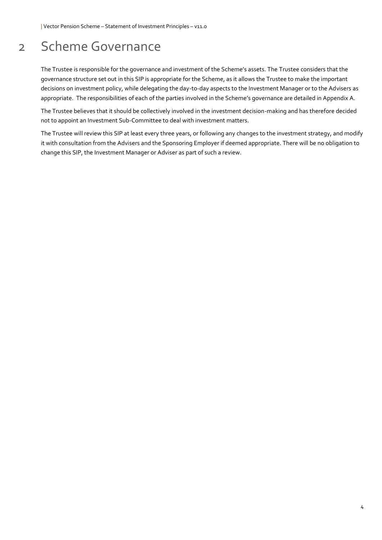## 2 Scheme Governance

The Trustee is responsible for the governance and investment of the Scheme's assets. The Trustee considers that the governance structure set out in this SIP is appropriate for the Scheme, as it allows the Trustee to make the important decisions on investment policy, while delegating the day-to-day aspects to the Investment Manager or to the Advisers as appropriate. The responsibilities of each of the parties involved in the Scheme's governance are detailed in Appendix A.

The Trustee believes that it should be collectively involved in the investment decision-making and has therefore decided not to appoint an Investment Sub-Committee to deal with investment matters.

The Trustee will review this SIP at least every three years, or following any changes to the investment strategy, and modify it with consultation from the Advisers and the Sponsoring Employer if deemed appropriate. There will be no obligation to change this SIP, the Investment Manager or Adviser as part of such a review.

4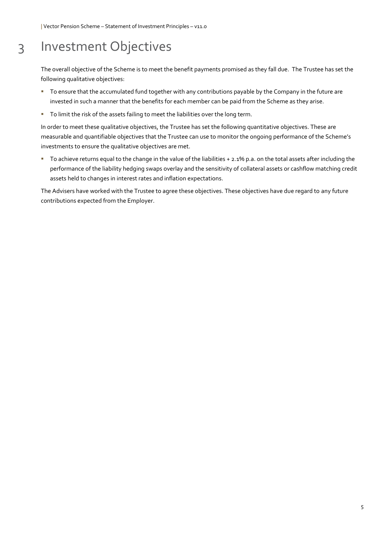### 3 Investment Objectives

The overall objective of the Scheme is to meet the benefit payments promised as they fall due. The Trustee has set the following qualitative objectives:

- To ensure that the accumulated fund together with any contributions payable by the Company in the future are invested in such a manner that the benefits for each member can be paid from the Scheme as they arise.
- To limit the risk of the assets failing to meet the liabilities over the long term.

In order to meet these qualitative objectives, the Trustee has set the following quantitative objectives. These are measurable and quantifiable objectives that the Trustee can use to monitor the ongoing performance of the Scheme's investments to ensure the qualitative objectives are met.

▪ To achieve returns equal to the change in the value of the liabilities + 2.1% p.a. on the total assets after including the performance of the liability hedging swaps overlay and the sensitivity of collateral assets or cashflow matching credit assets held to changes in interest rates and inflation expectations.

The Advisers have worked with the Trustee to agree these objectives. These objectives have due regard to any future contributions expected from the Employer.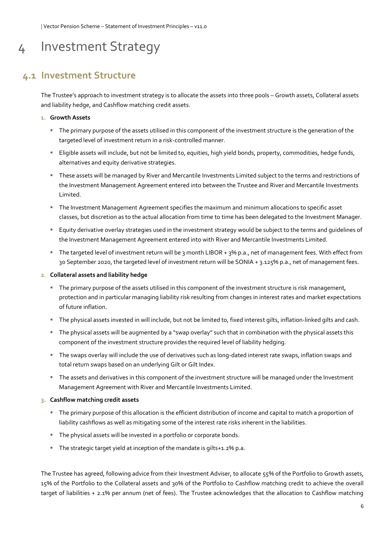### 4 Investment Strategy

#### **4.1 Investment Structure**

The Trustee's approach to investment strategy is to allocate the assets into three pools – Growth assets, Collateral assets and liability hedge, and Cashflow matching credit assets.

#### **1. Growth Assets**

- The primary purpose of the assets utilised in this component of the investment structure is the generation of the targeted level of investment return in a risk-controlled manner.
- Eligible assets will include, but not be limited to, equities, high yield bonds, property, commodities, hedge funds, alternatives and equity derivative strategies.
- These assets will be managed by River and Mercantile Investments Limited subject to the terms and restrictions of the Investment Management Agreement entered into between the Trustee and River and Mercantile Investments Limited.
- **The Investment Management Agreement specifies the maximum and minimum allocations to specific asset** classes, but discretion as to the actual allocation from time to time has been delegated to the Investment Manager.
- Equity derivative overlay strategies used in the investment strategy would be subject to the terms and guidelines of the Investment Management Agreement entered into with River and Mercantile Investments Limited.
- The targeted level of investment return will be 3 month LIBOR + 3% p.a., net of management fees. With effect from 30 September 2020, the targeted level of investment return will be SONIA + 3.125% p.a., net of management fees.

#### **2. Collateral assets and liability hedge**

- **The primary purpose of the assets utilised in this component of the investment structure is risk management,** protection and in particular managing liability risk resulting from changes in interest rates and market expectations of future inflation.
- The physical assets invested in will include, but not be limited to, fixed interest gilts, inflation-linked gilts and cash.
- The physical assets will be augmented by a "swap overlay" such that in combination with the physical assets this component of the investment structure provides the required level of liability hedging.
- The swaps overlay will include the use of derivatives such as long-dated interest rate swaps, inflation swaps and total return swaps based on an underlying Gilt or Gilt Index.
- The assets and derivatives in this component of the investment structure will be managed under the Investment Management Agreement with River and Mercantile Investments Limited.

#### **3. Cashflow matching credit assets**

- The primary purpose of this allocation is the efficient distribution of income and capital to match a proportion of liability cashflows as well as mitigating some of the interest rate risks inherent in the liabilities.
- **The physical assets will be invested in a portfolio or corporate bonds.**
- The strategic target yield at inception of the mandate is gilts+1.2% p.a.

The Trustee has agreed, following advice from their Investment Adviser, to allocate 55% of the Portfolio to Growth assets, 15% of the Portfolio to the Collateral assets and 30% of the Portfolio to Cashflow matching credit to achieve the overall target of liabilities + 2.1% per annum (net of fees). The Trustee acknowledges that the allocation to Cashflow matching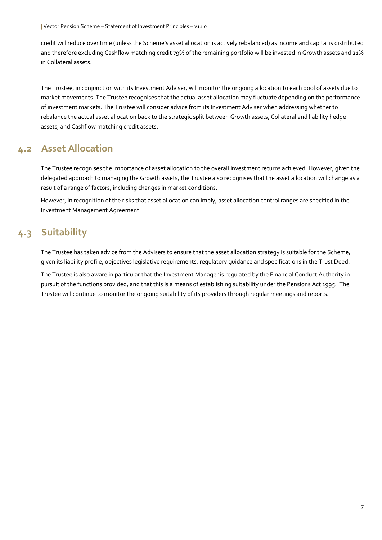credit will reduce over time (unless the Scheme's asset allocation is actively rebalanced) as income and capital is distributed and therefore excluding Cashflow matching credit 79% of the remaining portfolio will be invested in Growth assets and 21% in Collateral assets.

The Trustee, in conjunction with its Investment Adviser, will monitor the ongoing allocation to each pool of assets due to market movements. The Trustee recognises that the actual asset allocation may fluctuate depending on the performance of investment markets. The Trustee will consider advice from its Investment Adviser when addressing whether to rebalance the actual asset allocation back to the strategic split between Growth assets, Collateral and liability hedge assets, and Cashflow matching credit assets.

#### **4.2 Asset Allocation**

The Trustee recognises the importance of asset allocation to the overall investment returns achieved. However, given the delegated approach to managing the Growth assets, the Trustee also recognises that the asset allocation will change as a result of a range of factors, including changes in market conditions.

However, in recognition of the risks that asset allocation can imply, asset allocation control ranges are specified in the Investment Management Agreement.

### **4.3 Suitability**

The Trustee has taken advice from the Advisers to ensure that the asset allocation strategy is suitable for the Scheme, given its liability profile, objectives legislative requirements, regulatory guidance and specifications in the Trust Deed.

The Trustee is also aware in particular that the Investment Manager is regulated by the Financial Conduct Authority in pursuit of the functions provided, and that this is a means of establishing suitability under the Pensions Act 1995. The Trustee will continue to monitor the ongoing suitability of its providers through regular meetings and reports.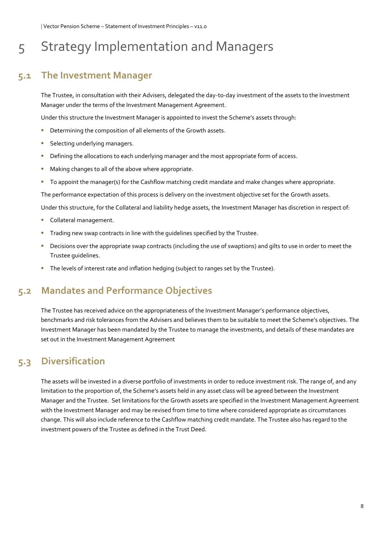### 5 Strategy Implementation and Managers

### **5.1 The Investment Manager**

The Trustee, in consultation with their Advisers, delegated the day-to-day investment of the assets to the Investment Manager under the terms of the Investment Management Agreement.

Under this structure the Investment Manager is appointed to invest the Scheme's assets through:

- Determining the composition of all elements of the Growth assets.
- Selecting underlying managers.
- **Defining the allocations to each underlying manager and the most appropriate form of access.**
- Making changes to all of the above where appropriate.
- To appoint the manager(s) for the Cashflow matching credit mandate and make changes where appropriate.

The performance expectation of this process is delivery on the investment objective set for the Growth assets.

Under this structure, for the Collateral and liability hedge assets, the Investment Manager has discretion in respect of:

- Collateral management.
- **Trading new swap contracts in line with the quidelines specified by the Trustee.**
- Decisions over the appropriate swap contracts (including the use of swaptions) and gilts to use in order to meet the Trustee guidelines.
- **The levels of interest rate and inflation hedging (subject to ranges set by the Trustee).**

#### **5.2 Mandates and Performance Objectives**

The Trustee has received advice on the appropriateness of the Investment Manager's performance objectives, benchmarks and risk tolerances from the Advisers and believes them to be suitable to meet the Scheme's objectives. The Investment Manager has been mandated by the Trustee to manage the investments, and details of these mandates are set out in the Investment Management Agreement

#### **5.3 Diversification**

The assets will be invested in a diverse portfolio of investments in order to reduce investment risk. The range of, and any limitation to the proportion of, the Scheme's assets held in any asset class will be agreed between the Investment Manager and the Trustee. Set limitations for the Growth assets are specified in the Investment Management Agreement with the Investment Manager and may be revised from time to time where considered appropriate as circumstances change. This will also include reference to the Cashflow matching credit mandate. The Trustee also has regard to the investment powers of the Trustee as defined in the Trust Deed.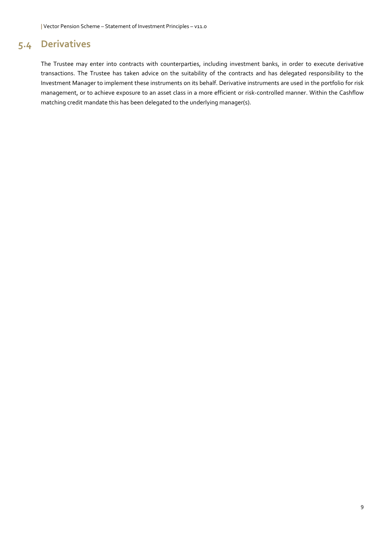### **5.4 Derivatives**

The Trustee may enter into contracts with counterparties, including investment banks, in order to execute derivative transactions. The Trustee has taken advice on the suitability of the contracts and has delegated responsibility to the Investment Manager to implement these instruments on its behalf. Derivative instruments are used in the portfolio for risk management, or to achieve exposure to an asset class in a more efficient or risk-controlled manner. Within the Cashflow matching credit mandate this has been delegated to the underlying manager(s).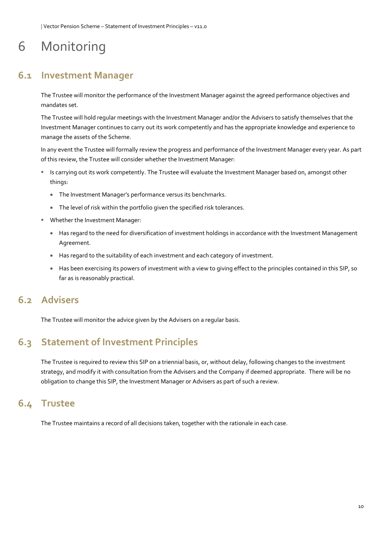# 6 Monitoring

#### **6.1 Investment Manager**

The Trustee will monitor the performance of the Investment Manager against the agreed performance objectives and mandates set.

The Trustee will hold regular meetings with the Investment Manager and/or the Advisers to satisfy themselves that the Investment Manager continues to carry out its work competently and has the appropriate knowledge and experience to manage the assets of the Scheme.

In any event the Trustee will formally review the progress and performance of the Investment Manager every year. As part of this review, the Trustee will consider whether the Investment Manager:

- Is carrying out its work competently. The Trustee will evaluate the Investment Manager based on, amongst other things:
	- The Investment Manager's performance versus its benchmarks.
	- The level of risk within the portfolio given the specified risk tolerances.
- **■** Whether the Investment Manager:
	- Has regard to the need for diversification of investment holdings in accordance with the Investment Management Agreement.
	- Has regard to the suitability of each investment and each category of investment.
	- Has been exercising its powers of investment with a view to giving effect to the principles contained in this SIP, so far as is reasonably practical.

#### **6.2 Advisers**

The Trustee will monitor the advice given by the Advisers on a regular basis.

### **6.3 Statement of Investment Principles**

The Trustee is required to review this SIP on a triennial basis, or, without delay, following changes to the investment strategy, and modify it with consultation from the Advisers and the Company if deemed appropriate. There will be no obligation to change this SIP, the Investment Manager or Advisers as part of such a review.

#### **6.4 Trustee**

The Trustee maintains a record of all decisions taken, together with the rationale in each case.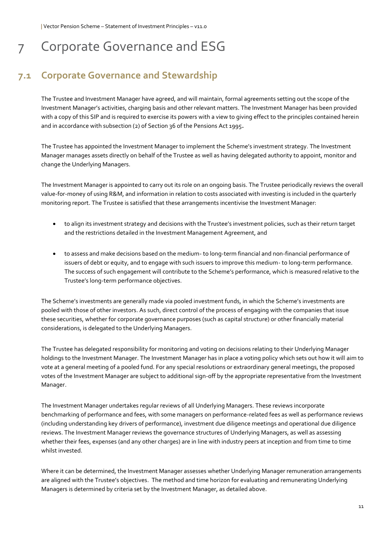# 7 Corporate Governance and ESG

### **7.1 Corporate Governance and Stewardship**

The Trustee and Investment Manager have agreed, and will maintain, formal agreements setting out the scope of the Investment Manager's activities, charging basis and other relevant matters. The Investment Manager has been provided with a copy of this SIP and is required to exercise its powers with a view to giving effect to the principles contained herein and in accordance with subsection (2) of Section 36 of the Pensions Act 1995**.** 

The Trustee has appointed the Investment Manager to implement the Scheme's investment strategy. The Investment Manager manages assets directly on behalf of the Trustee as well as having delegated authority to appoint, monitor and change the Underlying Managers.

The Investment Manager is appointed to carry out its role on an ongoing basis. The Trustee periodically reviews the overall value-for-money of using R&M, and information in relation to costs associated with investing is included in the quarterly monitoring report. The Trustee is satisfied that these arrangements incentivise the Investment Manager:

- to align its investment strategy and decisions with the Trustee's investment policies, such as their return target and the restrictions detailed in the Investment Management Agreement, and
- to assess and make decisions based on the medium- to long-term financial and non-financial performance of issuers of debt or equity, and to engage with such issuers to improve this medium- to long-term performance. The success of such engagement will contribute to the Scheme's performance, which is measured relative to the Trustee's long-term performance objectives.

The Scheme's investments are generally made via pooled investment funds, in which the Scheme's investments are pooled with those of other investors. As such, direct control of the process of engaging with the companies that issue these securities, whether for corporate governance purposes (such as capital structure) or other financially material considerations, is delegated to the Underlying Managers.

The Trustee has delegated responsibility for monitoring and voting on decisions relating to their Underlying Manager holdings to the Investment Manager. The Investment Manager has in place a voting policy which sets out how it will aim to vote at a general meeting of a pooled fund. For any special resolutions or extraordinary general meetings, the proposed votes of the Investment Manager are subject to additional sign-off by the appropriate representative from the Investment Manager.

The Investment Manager undertakes regular reviews of all Underlying Managers. These reviews incorporate benchmarking of performance and fees, with some managers on performance-related fees as well as performance reviews (including understanding key drivers of performance), investment due diligence meetings and operational due diligence reviews. The Investment Manager reviews the governance structures of Underlying Managers, as well as assessing whether their fees, expenses (and any other charges) are in line with industry peers at inception and from time to time whilst invested.

Where it can be determined, the Investment Manager assesses whether Underlying Manager remuneration arrangements are aligned with the Trustee's objectives. The method and time horizon for evaluating and remunerating Underlying Managers is determined by criteria set by the Investment Manager, as detailed above.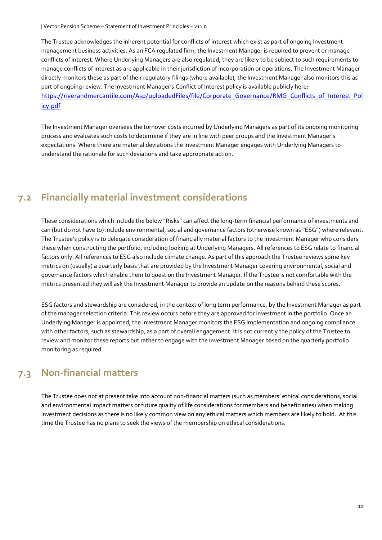The Trustee acknowledges the inherent potential for conflicts of interest which exist as part of ongoing Investment management business activities. As an FCA regulated firm, the Investment Manager is required to prevent or manage conflicts of interest. Where Underlying Managers are also regulated, they are likely to be subject to such requirements to manage conflicts of interest as are applicable in their jurisdiction of incorporation or operations. The Investment Manager directly monitors these as part of their regulatory filings (where available), the Investment Manager also monitors this as part of ongoing review. The Investment Manager's Conflict of Interest policy is available publicly here: [https://riverandmercantile.com/Asp/uploadedFiles/file/Corporate\\_Governance/RMG\\_Conflicts\\_of\\_Interest\\_Pol](https://riverandmercantile.com/Asp/uploadedFiles/file/Corporate_Governance/RMG_Conflicts_of_Interest_Policy.pdf) [icy.pdf](https://riverandmercantile.com/Asp/uploadedFiles/file/Corporate_Governance/RMG_Conflicts_of_Interest_Policy.pdf)

The Investment Manager oversees the turnover costs incurred by Underlying Managers as part of its ongoing monitoring process and evaluates such costs to determine if they are in line with peer groups and the Investment Manager's expectations. Where there are material deviations the Investment Manager engages with Underlying Managers to understand the rationale for such deviations and take appropriate action.

### **7.2 Financially material investment considerations**

These considerations which include the below "Risks" can affect the long-term financial performance of investments and can (but do not have to) include environmental, social and governance factors (otherwise known as "ESG") where relevant. The Trustee's policy is to delegate consideration of financially material factors to the Investment Manager who considers these when constructing the portfolio, including looking at Underlying Managers. All references to ESG relate to financial factors only. All references to ESG also include climate change. As part of this approach the Trustee reviews some key metrics on (usually) a quarterly basis that are provided by the Investment Manager covering environmental, social and governance factors which enable them to question the Investment Manager. If the Trustee is not comfortable with the metrics presented they will ask the Investment Manager to provide an update on the reasons behind these scores.

ESG factors and stewardship are considered, in the context of long term performance, by the Investment Manager as part of the manager selection criteria. This review occurs before they are approved for investment in the portfolio. Once an Underlying Manager is appointed, the Investment Manager monitors the ESG implementation and ongoing compliance with other factors, such as stewardship, as a part of overall engagement. It is not currently the policy of the Trustee to review and monitor these reports but rather to engage with the Investment Manager based on the quarterly portfolio monitoring as required.

#### **7.3 Non-financial matters**

The Trustee does not at present take into account non-financial matters (such as members' ethical considerations, social and environmental impact matters or future quality of life considerations for members and beneficiaries) when making investment decisions as there is no likely common view on any ethical matters which members are likely to hold. At this time the Trustee has no plans to seek the views of the membership on ethical considerations.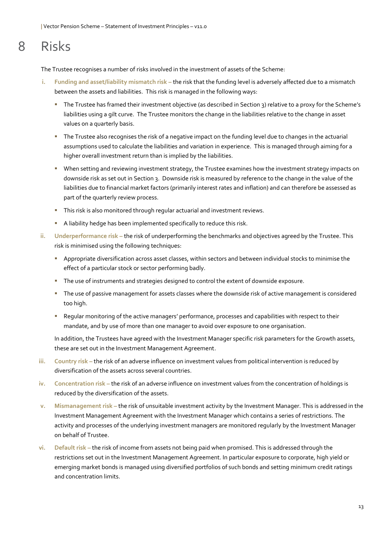# 8 Risks

The Trustee recognises a number of risks involved in the investment of assets of the Scheme:

- **i. Funding and asset/liability mismatch risk –** the risk that the funding level is adversely affected due to a mismatch between the assets and liabilities. This risk is managed in the following ways:
	- The Trustee has framed their investment objective (as described in Section 3) relative to a proxy for the Scheme's liabilities using a gilt curve. The Trustee monitors the change in the liabilities relative to the change in asset values on a quarterly basis.
	- The Trustee also recognises the risk of a negative impact on the funding level due to changes in the actuarial assumptions used to calculate the liabilities and variation in experience. This is managed through aiming for a higher overall investment return than is implied by the liabilities.
	- **■** When setting and reviewing investment strategy, the Trustee examines how the investment strategy impacts on downside risk as set out in Section 3. Downside risk is measured by reference to the change in the value of the liabilities due to financial market factors (primarily interest rates and inflation) and can therefore be assessed as part of the quarterly review process.
	- **·** This risk is also monitored through regular actuarial and investment reviews.
	- **E** A liability hedge has been implemented specifically to reduce this risk.
- **ii. Underperformance risk –** the risk of underperforming the benchmarks and objectives agreed by the Trustee. This risk is minimised using the following techniques:
	- **EXP** Appropriate diversification across asset classes, within sectors and between individual stocks to minimise the effect of a particular stock or sector performing badly.
	- The use of instruments and strategies designed to control the extent of downside exposure.
	- The use of passive management for assets classes where the downside risk of active management is considered too high.
	- Regular monitoring of the active managers' performance, processes and capabilities with respect to their mandate, and by use of more than one manager to avoid over exposure to one organisation.

In addition, the Trustees have agreed with the Investment Manager specific risk parameters for the Growth assets, these are set out in the Investment Management Agreement.

- **iii. Country risk –** the risk of an adverse influence on investment values from political intervention is reduced by diversification of the assets across several countries.
- **iv. Concentration risk –** the risk of an adverse influence on investment values from the concentration of holdings is reduced by the diversification of the assets.
- **v. Mismanagement risk –** the risk of unsuitable investment activity by the Investment Manager. This is addressed in the Investment Management Agreement with the Investment Manager which contains a series of restrictions. The activity and processes of the underlying investment managers are monitored regularly by the Investment Manager on behalf of Trustee.
- **vi. Default risk –** the risk of income from assets not being paid when promised. This is addressed through the restrictions set out in the Investment Management Agreement. In particular exposure to corporate, high yield or emerging market bonds is managed using diversified portfolios of such bonds and setting minimum credit ratings and concentration limits.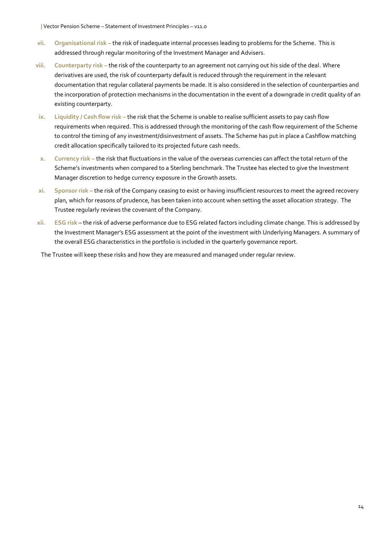- **vii. Organisational risk –** the risk of inadequate internal processes leading to problems for the Scheme. This is addressed through regular monitoring of the Investment Manager and Advisers.
- **viii. Counterparty risk –** the risk of the counterparty to an agreement not carrying out his side of the deal. Where derivatives are used, the risk of counterparty default is reduced through the requirement in the relevant documentation that regular collateral payments be made. It is also considered in the selection of counterparties and the incorporation of protection mechanisms in the documentation in the event of a downgrade in credit quality of an existing counterparty.
- **ix. Liquidity / Cash flow risk –** the risk that the Scheme is unable to realise sufficient assets to pay cash flow requirements when required. This is addressed through the monitoring of the cash flow requirement of the Scheme to control the timing of any investment/disinvestment of assets. The Scheme has put in place a Cashflow matching credit allocation specifically tailored to its projected future cash needs.
- **x. Currency risk –** the risk that fluctuations in the value of the overseas currencies can affect the total return of the Scheme's investments when compared to a Sterling benchmark. The Trustee has elected to give the Investment Manager discretion to hedge currency exposure in the Growth assets.
- **xi. Sponsor risk –** the risk of the Company ceasing to exist or having insufficient resources to meet the agreed recovery plan, which for reasons of prudence, has been taken into account when setting the asset allocation strategy. The Trustee regularly reviews the covenant of the Company.
- **xii. ESG risk** the risk of adverse performance due to ESG related factors including climate change. This is addressed by the Investment Manager's ESG assessment at the point of the investment with Underlying Managers. A summary of the overall ESG characteristics in the portfolio is included in the quarterly governance report.

The Trustee will keep these risks and how they are measured and managed under regular review.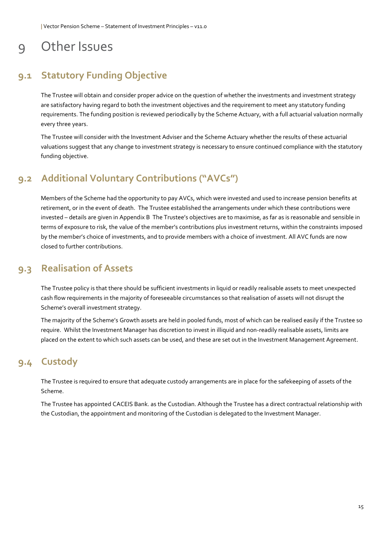### 9 Other Issues

### **9.1 Statutory Funding Objective**

The Trustee will obtain and consider proper advice on the question of whether the investments and investment strategy are satisfactory having regard to both the investment objectives and the requirement to meet any statutory funding requirements. The funding position is reviewed periodically by the Scheme Actuary, with a full actuarial valuation normally every three years.

The Trustee will consider with the Investment Adviser and the Scheme Actuary whether the results of these actuarial valuations suggest that any change to investment strategy is necessary to ensure continued compliance with the statutory funding objective.

### **9.2 Additional Voluntary Contributions ("AVCs")**

Members of the Scheme had the opportunity to pay AVCs, which were invested and used to increase pension benefits at retirement, or in the event of death. The Trustee established the arrangements under which these contributions were invested – details are given in Appendix B The Trustee's objectives are to maximise, as far as is reasonable and sensible in terms of exposure to risk, the value of the member's contributions plus investment returns, within the constraints imposed by the member's choice of investments, and to provide members with a choice of investment. All AVC funds are now closed to further contributions.

### **9.3 Realisation of Assets**

The Trustee policy is that there should be sufficient investments in liquid or readily realisable assets to meet unexpected cash flow requirements in the majority of foreseeable circumstances so that realisation of assets will not disrupt the Scheme's overall investment strategy.

The majority of the Scheme's Growth assets are held in pooled funds, most of which can be realised easily if the Trustee so require. Whilst the Investment Manager has discretion to invest in illiquid and non-readily realisable assets, limits are placed on the extent to which such assets can be used, and these are set out in the Investment Management Agreement.

### **9.4 Custody**

The Trustee is required to ensure that adequate custody arrangements are in place for the safekeeping of assets of the Scheme.

The Trustee has appointed CACEIS Bank. as the Custodian. Although the Trustee has a direct contractual relationship with the Custodian, the appointment and monitoring of the Custodian is delegated to the Investment Manager.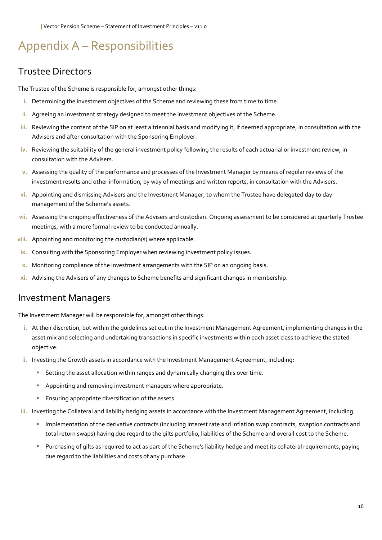## Appendix A – Responsibilities

### Trustee Directors

The Trustee of the Scheme is responsible for, amongst other things:

- **i.** Determining the investment objectives of the Scheme and reviewing these from time to time.
- **ii.** Agreeing an investment strategy designed to meet the investment objectives of the Scheme.
- **iii.** Reviewing the content of the SIP on at least a triennial basis and modifying it, if deemed appropriate, in consultation with the Advisers and after consultation with the Sponsoring Employer.
- **iv.** Reviewing the suitability of the general investment policy following the results of each actuarial or investment review, in consultation with the Advisers.
- **v.** Assessing the quality of the performance and processes of the Investment Manager by means of regular reviews of the investment results and other information, by way of meetings and written reports, in consultation with the Advisers.
- **vi.** Appointing and dismissing Advisers and the Investment Manager, to whom the Trustee have delegated day to day management of the Scheme's assets.
- **vii.** Assessing the ongoing effectiveness of the Advisers and custodian. Ongoing assessment to be considered at quarterly Trustee meetings, with a more formal review to be conducted annually.
- **viii.** Appointing and monitoring the custodian(s) where applicable.
- **ix.** Consulting with the Sponsoring Employer when reviewing investment policy issues.
- **x.** Monitoring compliance of the investment arrangements with the SIP on an ongoing basis.
- **xi.** Advising the Advisers of any changes to Scheme benefits and significant changes in membership.

#### Investment Managers

The Investment Manager will be responsible for, amongst other things:

- **i.** At their discretion, but within the guidelines set out in the Investment Management Agreement, implementing changes in the asset mix and selecting and undertaking transactions in specific investments within each asset class to achieve the stated objective.
- **ii.** Investing the Growth assets in accordance with the Investment Management Agreement, including:
	- **EXECT** Setting the asset allocation within ranges and dynamically changing this over time.
	- Appointing and removing investment managers where appropriate.
	- **Ensuring appropriate diversification of the assets.**
- **iii.** Investing the Collateral and liability hedging assets in accordance with the Investment Management Agreement, including:
	- Implementation of the derivative contracts (including interest rate and inflation swap contracts, swaption contracts and total return swaps) having due regard to the gilts portfolio, liabilities of the Scheme and overall cost to the Scheme.
	- Purchasing of gilts as required to act as part of the Scheme's liability hedge and meet its collateral requirements, paying due regard to the liabilities and costs of any purchase.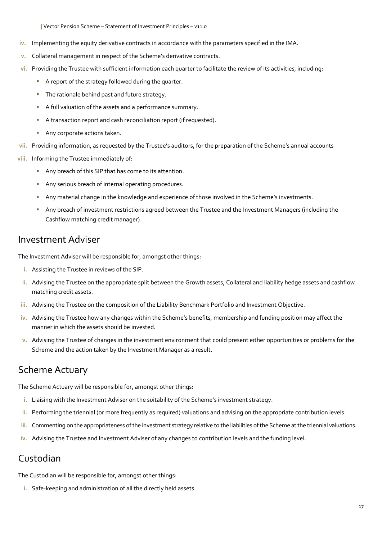- **iv.** Implementing the equity derivative contracts in accordance with the parameters specified in the IMA.
- **v.** Collateral management in respect of the Scheme's derivative contracts.
- **vi.** Providing the Trustee with sufficient information each quarter to facilitate the review of its activities, including:
	- A report of the strategy followed during the quarter.
	- **The rationale behind past and future strategy.**
	- A full valuation of the assets and a performance summary.
	- A transaction report and cash reconciliation report (if requested).
	- Any corporate actions taken.
- **vii.** Providing information, as requested by the Trustee's auditors, for the preparation of the Scheme's annual accounts
- **viii.** Informing the Trustee immediately of:
	- Any breach of this SIP that has come to its attention.
	- Any serious breach of internal operating procedures.
	- Any material change in the knowledge and experience of those involved in the Scheme's investments.
	- Any breach of investment restrictions agreed between the Trustee and the Investment Managers (including the Cashflow matching credit manager).

#### Investment Adviser

The Investment Adviser will be responsible for, amongst other things:

- **i.** Assisting the Trustee in reviews of the SIP.
- **ii.** Advising the Trustee on the appropriate split between the Growth assets, Collateral and liability hedge assets and cashflow matching credit assets.
- **iii.** Advising the Trustee on the composition of the Liability Benchmark Portfolio and Investment Objective.
- **iv.** Advising the Trustee how any changes within the Scheme's benefits, membership and funding position may affect the manner in which the assets should be invested.
- **v.** Advising the Trustee of changes in the investment environment that could present either opportunities or problems for the Scheme and the action taken by the Investment Manager as a result.

### Scheme Actuary

The Scheme Actuary will be responsible for, amongst other things:

- **i.** Liaising with the Investment Adviser on the suitability of the Scheme's investment strategy.
- **ii.** Performing the triennial (or more frequently as required) valuations and advising on the appropriate contribution levels.
- **iii.** Commenting on the appropriateness of the investment strategy relative to the liabilities of the Scheme at the triennial valuations.
- **iv.** Advising the Trustee and Investment Adviser of any changes to contribution levels and the funding level.

### Custodian

The Custodian will be responsible for, amongst other things:

**i.** Safe-keeping and administration of all the directly held assets.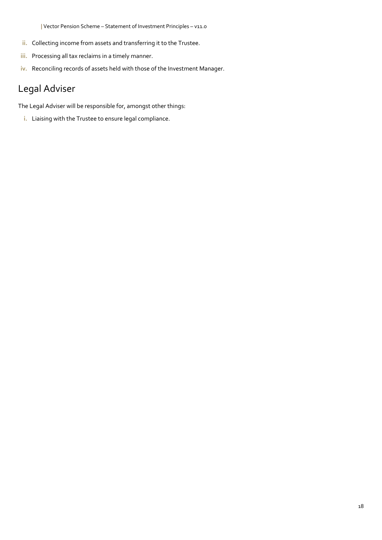- **ii.** Collecting income from assets and transferring it to the Trustee.
- **iii.** Processing all tax reclaims in a timely manner.
- **iv.** Reconciling records of assets held with those of the Investment Manager.

### Legal Adviser

The Legal Adviser will be responsible for, amongst other things:

**i.** Liaising with the Trustee to ensure legal compliance.